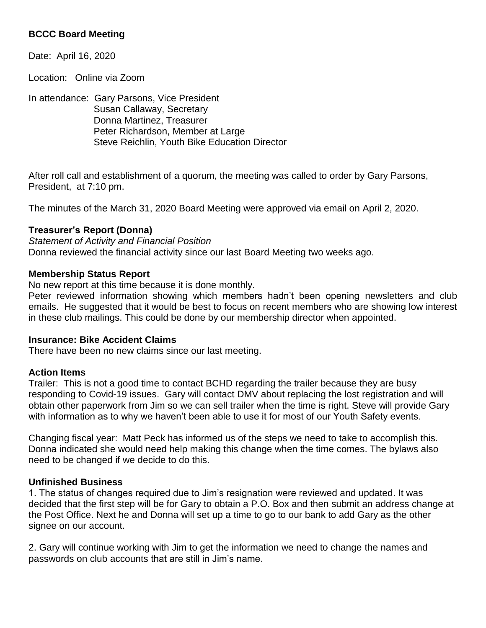# **BCCC Board Meeting**

Date: April 16, 2020

Location: Online via Zoom

In attendance: Gary Parsons, Vice President Susan Callaway, Secretary Donna Martinez, Treasurer Peter Richardson, Member at Large Steve Reichlin, Youth Bike Education Director

After roll call and establishment of a quorum, the meeting was called to order by Gary Parsons, President, at 7:10 pm.

The minutes of the March 31, 2020 Board Meeting were approved via email on April 2, 2020.

### **Treasurer's Report (Donna)**

*Statement of Activity and Financial Position* Donna reviewed the financial activity since our last Board Meeting two weeks ago.

### **Membership Status Report**

No new report at this time because it is done monthly.

Peter reviewed information showing which members hadn't been opening newsletters and club emails. He suggested that it would be best to focus on recent members who are showing low interest in these club mailings. This could be done by our membership director when appointed.

#### **Insurance: Bike Accident Claims**

There have been no new claims since our last meeting.

#### **Action Items**

Trailer: This is not a good time to contact BCHD regarding the trailer because they are busy responding to Covid-19 issues. Gary will contact DMV about replacing the lost registration and will obtain other paperwork from Jim so we can sell trailer when the time is right. Steve will provide Gary with information as to why we haven't been able to use it for most of our Youth Safety events.

Changing fiscal year: Matt Peck has informed us of the steps we need to take to accomplish this. Donna indicated she would need help making this change when the time comes. The bylaws also need to be changed if we decide to do this.

#### **Unfinished Business**

1. The status of changes required due to Jim's resignation were reviewed and updated. It was decided that the first step will be for Gary to obtain a P.O. Box and then submit an address change at the Post Office. Next he and Donna will set up a time to go to our bank to add Gary as the other signee on our account.

2. Gary will continue working with Jim to get the information we need to change the names and passwords on club accounts that are still in Jim's name.